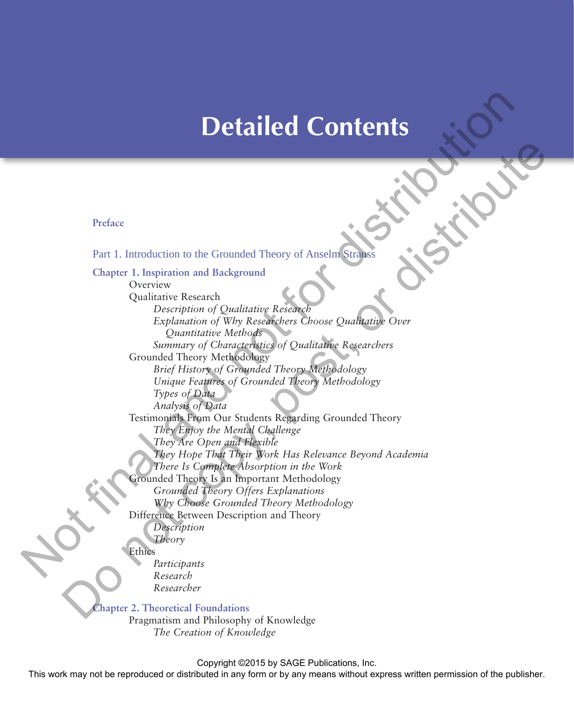# **Detailed Contents**

**Preface**

Part 1. Introduction to the Grounded Theory of Anselm Strauss

**Chapter 1. Inspiration and Background** Overview Qualitative Research *Description of Qualitative Research Explanation of Why Researchers Choose Qualitative Over Quantitative Methods Summary of Characteristics of Qualitative Researchers* Grounded Theory Methodology *Brief History of Grounded Theory Methodology Unique Features of Grounded Theory Methodology Types of Data Analysis of Data* Testimonials From Our Students Regarding Grounded Theory *They Enjoy the Mental Challenge They Are Open and Flexible They Hope That Their Work Has Relevance Beyond Academia There Is Complete Absorption in the Work* Grounded Theory Is an Important Methodology *Grounded Theory Offers Explanations Why Choose Grounded Theory Methodology* Difference Between Description and Theory *Description Theory* Ethics *Participants Research Researcher* **Detailed Contents**<br>
Preface<br>
Part 1. Introduction to the Grounded Theory of Anseling<br>
Chapter 1. Inspiration and Background<br>
Chapter 1. Inspiration and Background<br>
Chapter 1. Inspiration of Qualitative Recent<br>
Chapter 1. Preface<br>
Pear 1. Introduction to the Grounded Theory of Anselm Stripes<br>
Chapter Lucy<br>
Chapter (Decembention and Background)<br>
Chapter (Decembention and Background)<br>
Copyrightin of Qualitating Research<br>
Counter (Decembent o

**Chapter 2. Theoretical Foundations**

Pragmatism and Philosophy of Knowledge *The Creation of Knowledge*

Copyright ©2015 by SAGE Publications, Inc.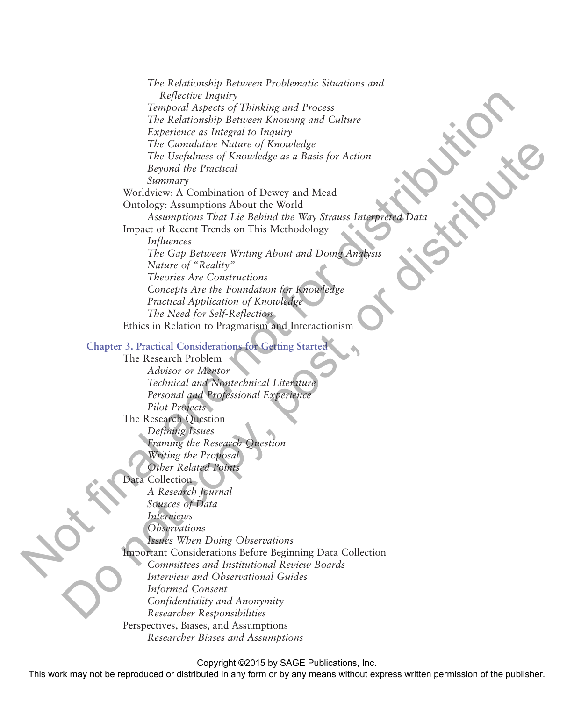*The Relationship Between Problematic Situations and Reflective Inquiry Temporal Aspects of Thinking and Process The Relationship Between Knowing and Culture Experience as Integral to Inquiry The Cumulative Nature of Knowledge The Usefulness of Knowledge as a Basis for Action Beyond the Practical Summary* Worldview: A Combination of Dewey and Mead Ontology: Assumptions About the World Assumptions That Lie Behind the Way Strauss Interpreted Dat. Impact of Recent Trends on This Methodology *Influences The Gap Between Writing About and Doing Analysis Nature of "Reality" Theories Are Constructions Concepts Are the Foundation for Knowledge Practical Application of Knowledge The Need for Self-Reflection* Ethics in Relation to Pragmatism and Interactionism **Chapter 3. Practical Considerations for Getting Started**  The Research Problem *Advisor or Mentor Technical and Nontechnical Literature Personal and Professional Experience Pilot Projects* The Research Question *Defining Issues Framing the Research Question Writing the Proposal Other Related Points* Data Collection *A Research Journal Sources of Data Interviews Observations Issues When Doing Observations* Important Considerations Before Beginning Data Collection *Committees and Institutional Review Boards Interview and Observational Guides Informed Consent Confidentiality and Anonymity Researcher Responsibilities* Perspectives, Biases, and Assumptions *Researcher Biases and Assumptions* Reflective inspiral and process<br>
Temporal Aspects of Thinking and Frucess<br>
The Redationship Bruses Knowning and Culture<br>  $P_{\text{R}}$ processions parameter Meanwhere the procession of the state of the state of the state of th The Commutive National (Riversite) and the Proposition of Dente Benefits (Riversite)<br>
Development of Denver and Meal<br>
Sammary constitution of Denver and Meal<br>
Windows Assumption That Lie Behold the Way Strauss Integrated<br>

Copyright ©2015 by SAGE Publications, Inc.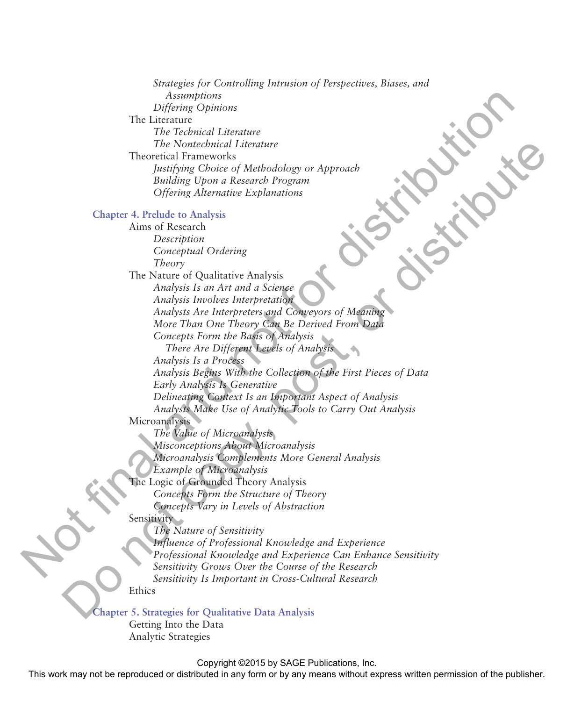| Strategies for Controlling Intrusion of Perspectives, Biases, and |
|-------------------------------------------------------------------|
| Assumptions                                                       |
| Differing Opinions                                                |
| The Literature                                                    |
| The Technical Literature                                          |
| The Nontechnical Literature                                       |
| <b>Theoretical Frameworks</b>                                     |
| Justifying Choice of Methodology or Approach                      |
| Building Upon a Research Program                                  |
| <b>Offering Alternative Explanations</b>                          |
| <b>Chapter 4. Prelude to Analysis</b>                             |
| Aims of Research                                                  |
| Description                                                       |
| Conceptual Ordering                                               |
| Theory                                                            |
| The Nature of Qualitative Analysis                                |
| Analysis Is an Art and a Science                                  |
| Analysis Involves Interpretation                                  |
| Analysts Are Interpreters and Conveyors of Meaning                |
| More Than One Theory Can Be Derived From Data                     |
| Concepts Form the Basis of Analysis                               |
| There Are Different Levels of Analysis                            |
| Analysis Is a Process                                             |
| Analysis Begins With the Collection of the First Pieces of Data   |
| Early Analysis Is Generative                                      |
| Delineating Context Is an Important Aspect of Analysis            |
| Analysts Make Use of Analytic Tools to Carry Out Analysis         |
| Microanalysis                                                     |
| The Value of Microanalysis                                        |
| Misconceptions About Microanalysis                                |
| Microanalysis Complements More General Analysis                   |
| <b>Example of Microanalysis</b>                                   |
| The Logic of Grounded Theory Analysis                             |
| Concepts Form the Structure of Theory                             |
| Concepts Vary in Levels of Abstraction                            |
| Sensitivity                                                       |
| The Nature of Sensitivity                                         |
| Influence of Professional Knowledge and Experience                |
| Professional Knowledge and Experience Can Enhance Sensitivity     |
| Sensitivity Grows Over the Course of the Research                 |
| Sensitivity Is Important in Cross-Cultural Research               |
| Ethics                                                            |
| Chapter 5. Strategies for Qualitative Data Analysis               |
| Getting Into the Data                                             |
| Analytic Strategies                                               |

#### Copyright ©2015 by SAGE Publications, Inc.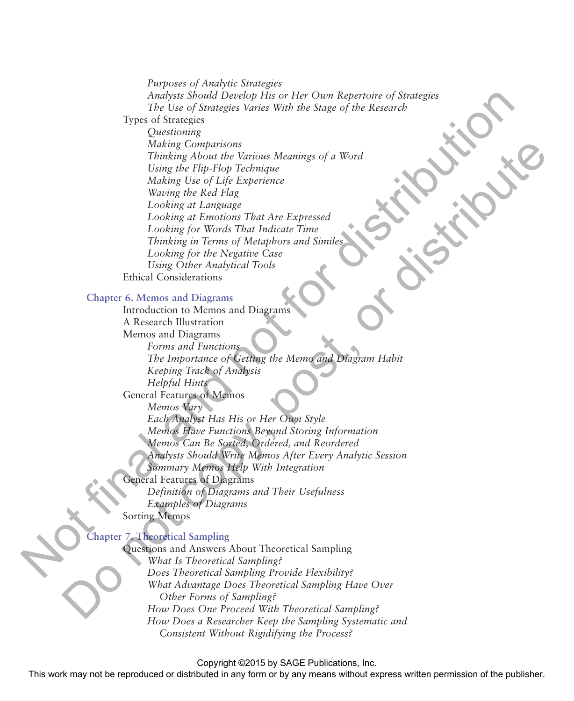*Purposes of Analytic Strategies Analysts Should Develop His or Her Own Repertoire of Strategies The Use of Strategies Varies With the Stage of the Research* Types of Strategies *Questioning Making Comparisons Thinking About the Various Meanings of a Word Using the Flip-Flop Technique Making Use of Life Experience Waving the Red Flag Looking at Language Looking at Emotions That Are Expressed Looking for Words That Indicate Time Thinking in Terms of Metaphors and Similes Looking for the Negative Case Using Other Analytical Tools* Ethical Considerations **Chapter 6. Memos and Diagrams** Introduction to Memos and Diagrams A Research Illustration The Use of Strategies Varies With the Stage of the Research of Strategies<br>
Types of Strategies Varies With the Stage of the Research<br>
Types of Strategies of the Research<br>
The Use of Michael Contribution<br>
Makhay Use C Mich Making Completions (School of the Hart of the Hart of the Hart of the Hart of the Hart of the Hart of the Hart of the Hart of the Hart of the Hart of the Hart of the Hart of the Hart of the Hart of the Hart of the Hart of

Memos and Diagrams *Forms and Functions The Importance of Getting the Memo and Diagram Habit Keeping Track of Analysis Helpful Hints* General Features of Memos *Memos Vary Each Analyst Has His or Her Own Style Memos Have Functions Beyond Storing Information Memos Can Be Sorted, Ordered, and Reordered Analysts Should Write Memos After Every Analytic Session Summary Memos Help With Integration* General Features of Diagrams *Definition of Diagrams and Their Usefulness Examples of Diagrams* Sorting Memos

### **Chapter 7. Theoretical Sampling**

Questions and Answers About Theoretical Sampling *What Is Theoretical Sampling? Does Theoretical Sampling Provide Flexibility? What Advantage Does Theoretical Sampling Have Over Other Forms of Sampling? How Does One Proceed With Theoretical Sampling? How Does a Researcher Keep the Sampling Systematic and Consistent Without Rigidifying the Process?*

Copyright ©2015 by SAGE Publications, Inc.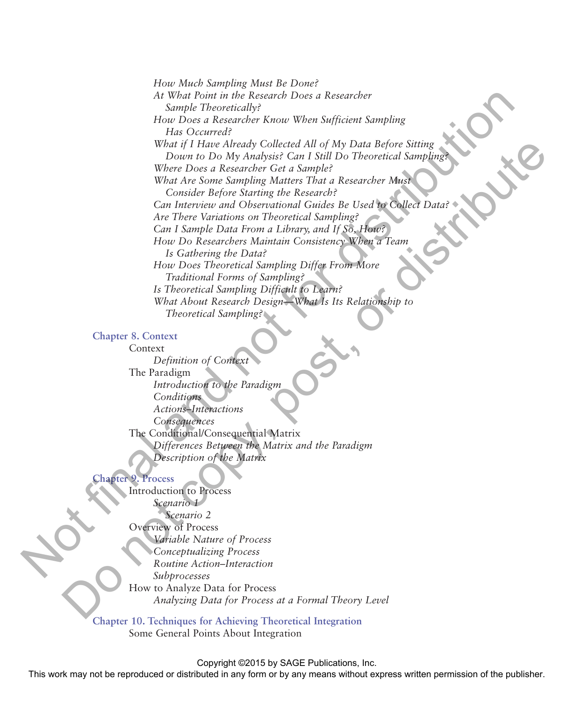*How Much Sampling Must Be Done? At What Point in the Research Does a Researcher Sample Theoretically? How Does a Researcher Know When Sufficient Sampling Has Occurred? What if I Have Already Collected All of My Data Before Sitting Down to Do My Analysis? Can I Still Do Theoretical Sampling? Where Does a Researcher Get a Sample? What Are Some Sampling Matters That a Researcher Must Consider Before Starting the Research? Can Interview and Observational Guides Be Used to Collect Data? Are There Variations on Theoretical Sampling? Can I Sample Data From a Library, and If So, How? How Do Researchers Maintain Consistency When a Team Is Gathering the Data? How Does Theoretical Sampling Differ From More Traditional Forms of Sampling? Is Theoretical Sampling Difficult to Learn? What About Research Design—What Is Its Relationship to Theoretical Sampling?* At What Notes the the Research Does a Research Thomas behavior in the Research of Note Data Beach Collected All of My Data Before Similar Windows (Figure 1) and  $\alpha$  What  $\alpha$  and  $\alpha$  When  $\alpha$  and  $\alpha$  When  $\alpha$  and  $\alpha$ What if  $\prod_{i=1}^{n} \prod_{i=1}^{n} \prod_{i=1}^{n} \prod_{i=1}^{n} \prod_{i=1}^{n} \prod_{i=1}^{n} \prod_{i=1}^{n} \prod_{i=1}^{n} \prod_{i=1}^{n} \prod_{i=1}^{n} \prod_{i=1}^{n} \prod_{i=1}^{n} \prod_{i=1}^{n} \prod_{i=1}^{n} \prod_{i=1}^{n} \prod_{i=1}^{n} \prod_{i=1}^{n} \prod_{i=1}^{n} \prod_{i=1}^{n} \prod_{i=1}^{n} \prod_{i=1}^{n} \prod$ 

#### **Chapter 8. Context**

Context *Definition of Context* The Paradigm *Introduction to the Paradigm Conditions Actions–Interactions Consequences* The Conditional/Consequential Matrix *Differences Between the Matrix and the Paradigm Description of the Matrix*

#### **Chapter 9. Process**

Introduction to Process *Scenario 1 Scenario 2* Overview of Process *Variable Nature of Process Conceptualizing Process Routine Action–Interaction Subprocesses* How to Analyze Data for Process *Analyzing Data for Process at a Formal Theory Level*

**Chapter 10. Techniques for Achieving Theoretical Integration** Some General Points About Integration

Copyright ©2015 by SAGE Publications, Inc.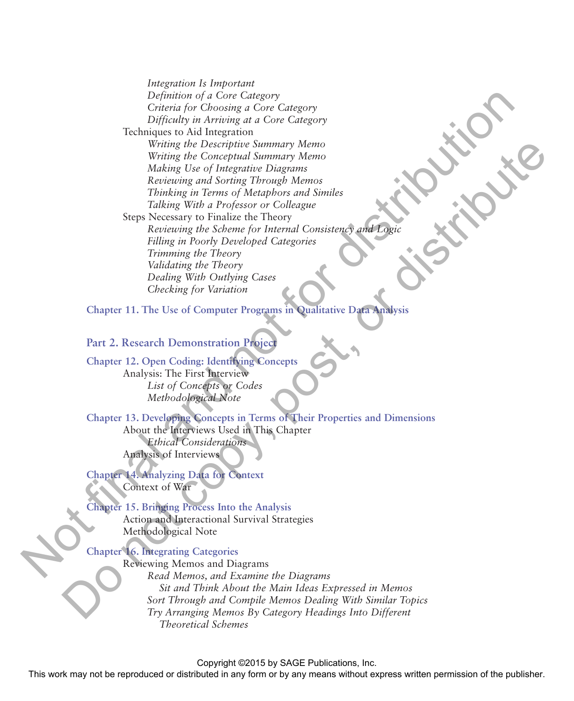*Integration Is Important Definition of a Core Category Criteria for Choosing a Core Category Difficulty in Arriving at a Core Category* Techniques to Aid Integration *Writing the Descriptive Summary Memo Writing the Conceptual Summary Memo Making Use of Integrative Diagrams Reviewing and Sorting Through Memos Thinking in Terms of Metaphors and Similes Talking With a Professor or Colleague* Steps Necessary to Finalize the Theory *Reviewing the Scheme for Internal Consistency and Logic Filling in Poorly Developed Categories Trimming the Theory Validating the Theory Dealing With Outlying Cases Checking for Variation* Definition of a Core Category<br>
Christian for Convenient and Care Category<br>
Defining in Arrivannia at Core Category<br>
Techniques to Add Integration<br>
Writing the December Shummer Menon<br>
Writing the Scheme Engels and Sorting Wring the Coercipties Simmary Memory<br>
Wring the Coerceptratal Summary Memory<br>
Mechange Lies of Intergrating Chapters<br>
Recension and Sorring Through Memorials<br>
The Necketian of the Scheme (or Mechanical Coerceptrating the

**Chapter 11. The Use of Computer Programs in Qualitative Data Analysis**

## **Part 2. Research Demonstration Project**

**Chapter 12. Open Coding: Identifying Concepts** Analysis: The First Interview *List of Concepts or Codes Methodological Note*

# **Chapter 13. Developing Concepts in Terms of Their Properties and Dimensions**

About the Interviews Used in This Chapter *Ethical Considerations* Analysis of Interviews

#### **Chapter 14. Analyzing Data for Context** Context of War

**Chapter 15. Bringing Process Into the Analysis** Action and Interactional Survival Strategies Methodological Note

#### **Chapter 16. Integrating Categories**

Reviewing Memos and Diagrams *Read Memos, and Examine the Diagrams Sit and Think About the Main Ideas Expressed in Memos Sort Through and Compile Memos Dealing With Similar Topics Try Arranging Memos By Category Headings Into Different Theoretical Schemes*

Copyright ©2015 by SAGE Publications, Inc.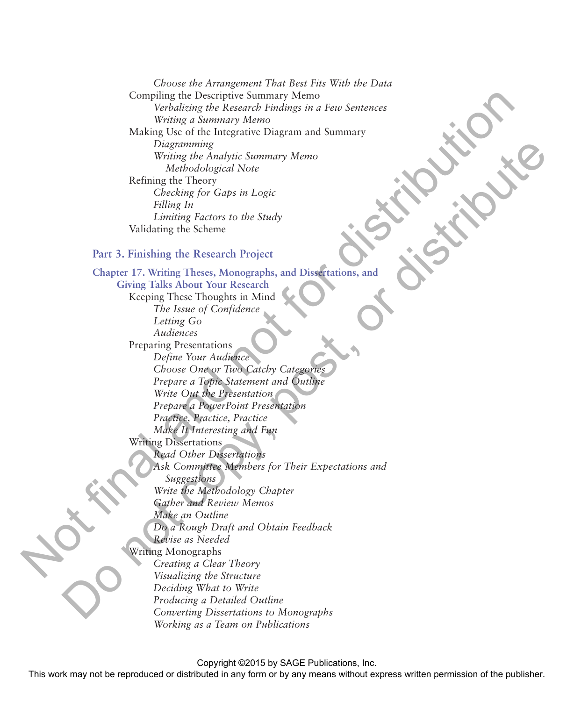*Choose the Arrangement That Best Fits With the Data* Compiling the Descriptive Summary Memo *Verbalizing the Research Findings in a Few Sentences Writing a Summary Memo* Making Use of the Integrative Diagram and Summary *Diagramming Writing the Analytic Summary Memo Methodological Note* Refining the Theory *Checking for Gaps in Logic Filling In Limiting Factors to the Study* Validating the Scheme

#### **Part 3. Finishing the Research Project**

# **Chapter 17. Writing Theses, Monographs, and Dissertations, and Giving Talks About Your Research** Keeping These Thoughts in Mind *The Issue of Confidence Letting Go Audiences* Preparing Presentations *Define Your Audience Choose One or Two Catchy Categories Prepare a Topic Statement and Outline Write Out the Presentation Prepare a PowerPoint Presentation Practice, Practice, Practice Make It Interesting and Fun* Writing Dissertations *Read Other Dissertations Ask Committee Members for Their Expectations and Suggestions Write the Methodology Chapter Gather and Review Memos Make an Outline Do a Rough Draft and Obtain Feedback Revise as Needed* Writing Monographs *Creating a Clear Theory Visualizing the Structure Deciding What to Write Producing a Detailed Outline Converting Dissertations to Monographs Working as a Team on Publications* Compliting the Descriptive Summary Memory<br>
Written's decorate Final angular and Final Summary<br>
Written's decorate the control of the control of the strict of the control of the strict of the control of the strict of the c Dogenoming the Market Survey of the Market Survey of the Market Survey (Eq. 2) The Context Survey of Copy and Distribution of the Copy of Copy and Distribution of the Survey That 3. Finally, the Recent Project Chapter of

Copyright ©2015 by SAGE Publications, Inc.